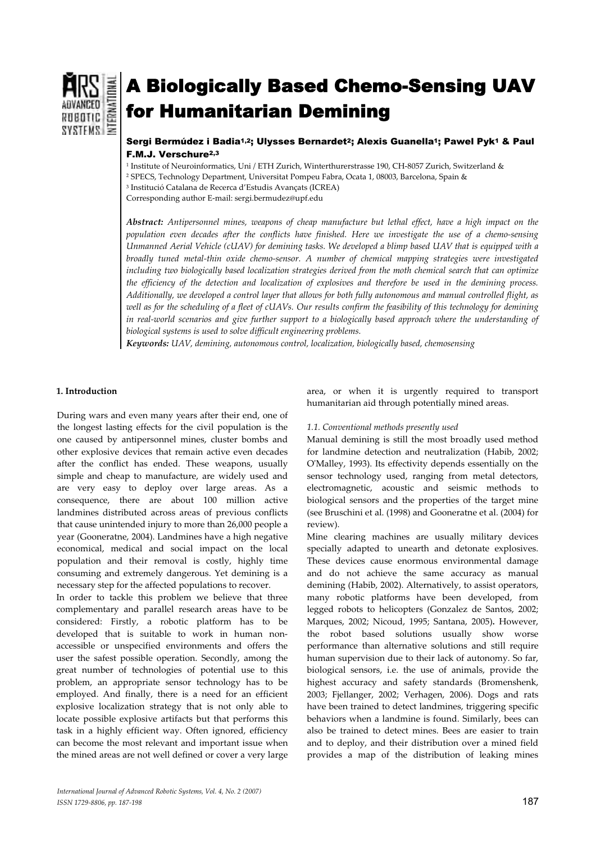

# A Biologically Based Chemo-Sensing UAV for Humanitarian Demining

# Sergi Bermúdez i Badia<sup>1,2</sup>; Ulysses Bernardet<sup>2</sup>; Alexis Guanella<sup>1</sup>; Pawel Pyk<sup>1</sup> & Paul F.M.J. Verschure2,3

1 Institute of Neuroinformatics, Uni / ETH Zurich, Winterthurerstrasse 190, CH-8057 Zurich, Switzerland & 2 SPECS, Technology Department, Universitat Pompeu Fabra, Ocata 1, 08003, Barcelona, Spain &

3 Institució Catalana de Recerca d'Estudis Avançats (ICREA)

Corresponding author E-mail: sergi.bermudez@upf.edu

*Abstract: Antipersonnel mines, weapons of cheap manufacture but lethal effect, have a high impact on the population even decades after the conflicts have finished. Here we investigate the use of a chemo-sensing Unmanned Aerial Vehicle (cUAV) for demining tasks. We developed a blimp based UAV that is equipped with a broadly tuned metal-thin oxide chemo-sensor. A number of chemical mapping strategies were investigated including two biologically based localization strategies derived from the moth chemical search that can optimize the efficiency of the detection and localization of explosives and therefore be used in the demining process. Additionally, we developed a control layer that allows for both fully autonomous and manual controlled flight, as well as for the scheduling of a fleet of cUAVs. Our results confirm the feasibility of this technology for demining in real-world scenarios and give further support to a biologically based approach where the understanding of biological systems is used to solve difficult engineering problems.* 

*Keywords: UAV, demining, autonomous control, localization, biologically based, chemosensing* 

# **1. Introduction**

During wars and even many years after their end, one of the longest lasting effects for the civil population is the one caused by antipersonnel mines, cluster bombs and other explosive devices that remain active even decades after the conflict has ended. These weapons, usually simple and cheap to manufacture, are widely used and are very easy to deploy over large areas. As a consequence, there are about 100 million active landmines distributed across areas of previous conflicts that cause unintended injury to more than 26,000 people a year (Gooneratne, 2004). Landmines have a high negative economical, medical and social impact on the local population and their removal is costly, highly time consuming and extremely dangerous. Yet demining is a necessary step for the affected populations to recover.

In order to tackle this problem we believe that three complementary and parallel research areas have to be considered: Firstly, a robotic platform has to be developed that is suitable to work in human nonaccessible or unspecified environments and offers the user the safest possible operation. Secondly, among the great number of technologies of potential use to this problem, an appropriate sensor technology has to be employed. And finally, there is a need for an efficient explosive localization strategy that is not only able to locate possible explosive artifacts but that performs this task in a highly efficient way. Often ignored, efficiency can become the most relevant and important issue when the mined areas are not well defined or cover a very large

area, or when it is urgently required to transport humanitarian aid through potentially mined areas.

# *1.1. Conventional methods presently used*

Manual demining is still the most broadly used method for landmine detection and neutralization (Habib, 2002; O'Malley, 1993). Its effectivity depends essentially on the sensor technology used, ranging from metal detectors, electromagnetic, acoustic and seismic methods to biological sensors and the properties of the target mine (see Bruschini et al. (1998) and Gooneratne et al. (2004) for review).

Mine clearing machines are usually military devices specially adapted to unearth and detonate explosives. These devices cause enormous environmental damage and do not achieve the same accuracy as manual demining (Habib, 2002). Alternatively, to assist operators, many robotic platforms have been developed, from legged robots to helicopters (Gonzalez de Santos, 2002; Marques, 2002; Nicoud, 1995; Santana, 2005)**.** However, the robot based solutions usually show worse performance than alternative solutions and still require human supervision due to their lack of autonomy. So far, biological sensors, i.e. the use of animals, provide the highest accuracy and safety standards (Bromenshenk, 2003; Fjellanger, 2002; Verhagen, 2006). Dogs and rats have been trained to detect landmines, triggering specific behaviors when a landmine is found. Similarly, bees can also be trained to detect mines. Bees are easier to train and to deploy, and their distribution over a mined field provides a map of the distribution of leaking mines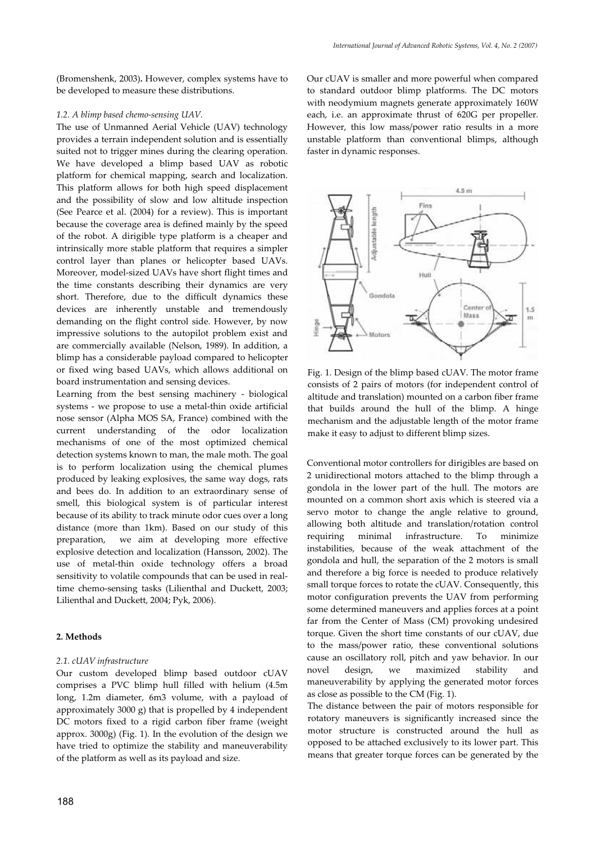(Bromenshenk, 2003)**.** However, complex systems have to be developed to measure these distributions.

## *1.2. A blimp based chemo-sensing UAV.*

The use of Unmanned Aerial Vehicle (UAV) technology provides a terrain independent solution and is essentially suited not to trigger mines during the clearing operation. We have developed a blimp based UAV as robotic platform for chemical mapping, search and localization. This platform allows for both high speed displacement and the possibility of slow and low altitude inspection (See Pearce et al. (2004) for a review). This is important because the coverage area is defined mainly by the speed of the robot. A dirigible type platform is a cheaper and intrinsically more stable platform that requires a simpler control layer than planes or helicopter based UAVs. Moreover, model-sized UAVs have short flight times and the time constants describing their dynamics are very short. Therefore, due to the difficult dynamics these devices are inherently unstable and tremendously demanding on the flight control side. However, by now impressive solutions to the autopilot problem exist and are commercially available (Nelson, 1989). In addition, a blimp has a considerable payload compared to helicopter or fixed wing based UAVs, which allows additional on board instrumentation and sensing devices.

Learning from the best sensing machinery - biological systems - we propose to use a metal-thin oxide artificial nose sensor (Alpha MOS SA, France) combined with the current understanding of the odor localization mechanisms of one of the most optimized chemical detection systems known to man, the male moth. The goal is to perform localization using the chemical plumes produced by leaking explosives, the same way dogs, rats and bees do. In addition to an extraordinary sense of smell, this biological system is of particular interest because of its ability to track minute odor cues over a long distance (more than 1km). Based on our study of this preparation, we aim at developing more effective explosive detection and localization (Hansson, 2002). The use of metal-thin oxide technology offers a broad sensitivity to volatile compounds that can be used in realtime chemo-sensing tasks (Lilienthal and Duckett, 2003; Lilienthal and Duckett, 2004; Pyk, 2006).

## **2. Methods**

## *2.1. cUAV infrastructure*

Our custom developed blimp based outdoor cUAV comprises a PVC blimp hull filled with helium (4.5m long, 1.2m diameter, 6m3 volume, with a payload of approximately 3000 g) that is propelled by 4 independent DC motors fixed to a rigid carbon fiber frame (weight approx. 3000g) (Fig. 1). In the evolution of the design we have tried to optimize the stability and maneuverability of the platform as well as its payload and size.

Our cUAV is smaller and more powerful when compared to standard outdoor blimp platforms. The DC motors with neodymium magnets generate approximately 160W each, i.e. an approximate thrust of 620G per propeller. However, this low mass/power ratio results in a more unstable platform than conventional blimps, although faster in dynamic responses.



Fig. 1. Design of the blimp based cUAV. The motor frame consists of 2 pairs of motors (for independent control of altitude and translation) mounted on a carbon fiber frame that builds around the hull of the blimp. A hinge mechanism and the adjustable length of the motor frame make it easy to adjust to different blimp sizes.

Conventional motor controllers for dirigibles are based on 2 unidirectional motors attached to the blimp through a gondola in the lower part of the hull. The motors are mounted on a common short axis which is steered via a servo motor to change the angle relative to ground, allowing both altitude and translation/rotation control requiring minimal infrastructure. To minimize instabilities, because of the weak attachment of the gondola and hull, the separation of the 2 motors is small and therefore a big force is needed to produce relatively small torque forces to rotate the cUAV. Consequently, this motor configuration prevents the UAV from performing some determined maneuvers and applies forces at a point far from the Center of Mass (CM) provoking undesired torque. Given the short time constants of our cUAV, due to the mass/power ratio, these conventional solutions cause an oscillatory roll, pitch and yaw behavior. In our novel design, we maximized stability and maneuverability by applying the generated motor forces as close as possible to the CM (Fig. 1).

The distance between the pair of motors responsible for rotatory maneuvers is significantly increased since the motor structure is constructed around the hull as opposed to be attached exclusively to its lower part. This means that greater torque forces can be generated by the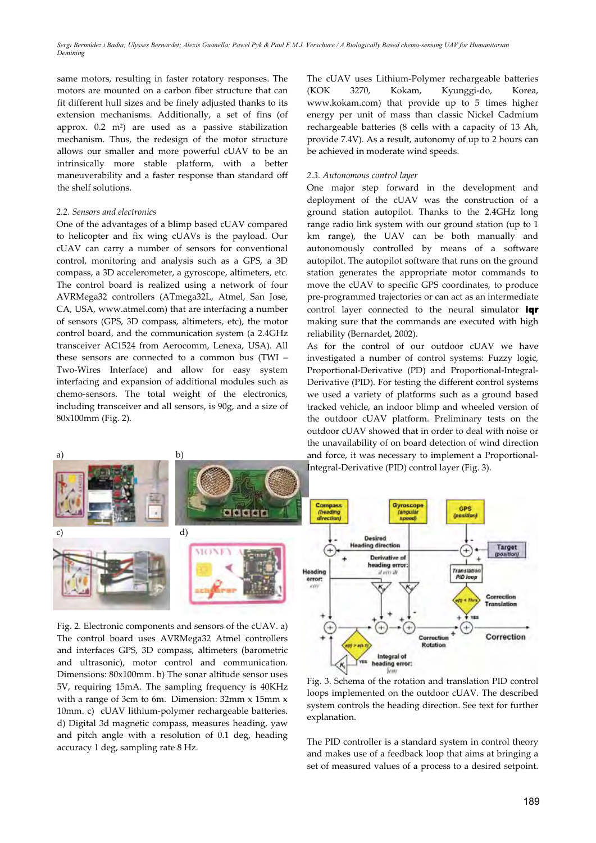same motors, resulting in faster rotatory responses. The motors are mounted on a carbon fiber structure that can fit different hull sizes and be finely adjusted thanks to its extension mechanisms. Additionally, a set of fins (of approx.  $0.2 \text{ m}^2$  are used as a passive stabilization mechanism. Thus, the redesign of the motor structure allows our smaller and more powerful cUAV to be an intrinsically more stable platform, with a better maneuverability and a faster response than standard off the shelf solutions.

## *2.2. Sensors and electronics*

a) b)

One of the advantages of a blimp based cUAV compared to helicopter and fix wing cUAVs is the payload. Our cUAV can carry a number of sensors for conventional control, monitoring and analysis such as a GPS, a 3D compass, a 3D accelerometer, a gyroscope, altimeters, etc. The control board is realized using a network of four AVRMega32 controllers (ATmega32L, Atmel, San Jose, CA, USA, www.atmel.com) that are interfacing a number of sensors (GPS, 3D compass, altimeters, etc), the motor control board, and the communication system (a 2.4GHz transceiver AC1524 from Aerocomm, Lenexa, USA). All these sensors are connected to a common bus (TWI – Two-Wires Interface) and allow for easy system interfacing and expansion of additional modules such as chemo-sensors. The total weight of the electronics, including transceiver and all sensors, is 90g, and a size of 80x100mm (Fig. 2).

The cUAV uses Lithium-Polymer rechargeable batteries (KOK 3270, Kokam, Kyunggi-do, Korea, www.kokam.com) that provide up to 5 times higher energy per unit of mass than classic Nickel Cadmium rechargeable batteries (8 cells with a capacity of 13 Ah, provide 7.4V). As a result, autonomy of up to 2 hours can be achieved in moderate wind speeds.

#### *2.3. Autonomous control layer*

One major step forward in the development and deployment of the cUAV was the construction of a ground station autopilot. Thanks to the 2.4GHz long range radio link system with our ground station (up to 1 km range), the UAV can be both manually and autonomously controlled by means of a software autopilot. The autopilot software that runs on the ground station generates the appropriate motor commands to move the cUAV to specific GPS coordinates, to produce pre-programmed trajectories or can act as an intermediate control layer connected to the neural simulator iqr making sure that the commands are executed with high reliability (Bernardet, 2002).

As for the control of our outdoor cUAV we have investigated a number of control systems: Fuzzy logic, Proportional-Derivative (PD) and Proportional-Integral-Derivative (PID). For testing the different control systems we used a variety of platforms such as a ground based tracked vehicle, an indoor blimp and wheeled version of the outdoor cUAV platform. Preliminary tests on the outdoor cUAV showed that in order to deal with noise or the unavailability of on board detection of wind direction and force, it was necessary to implement a Proportional-



Fig. 2. Electronic components and sensors of the cUAV. a) The control board uses AVRMega32 Atmel controllers and interfaces GPS, 3D compass, altimeters (barometric and ultrasonic), motor control and communication. Dimensions: 80x100mm. b) The sonar altitude sensor uses 5V, requiring 15mA. The sampling frequency is 40KHz with a range of 3cm to 6m. Dimension: 32mm x 15mm x 10mm. c) cUAV lithium-polymer rechargeable batteries. d) Digital 3d magnetic compass, measures heading, yaw and pitch angle with a resolution of 0.1 deg, heading accuracy 1 deg, sampling rate 8 Hz.



loops implemented on the outdoor cUAV. The described system controls the heading direction. See text for further explanation.

The PID controller is a standard system in control theory and makes use of a feedback loop that aims at bringing a set of measured values of a process to a desired setpoint.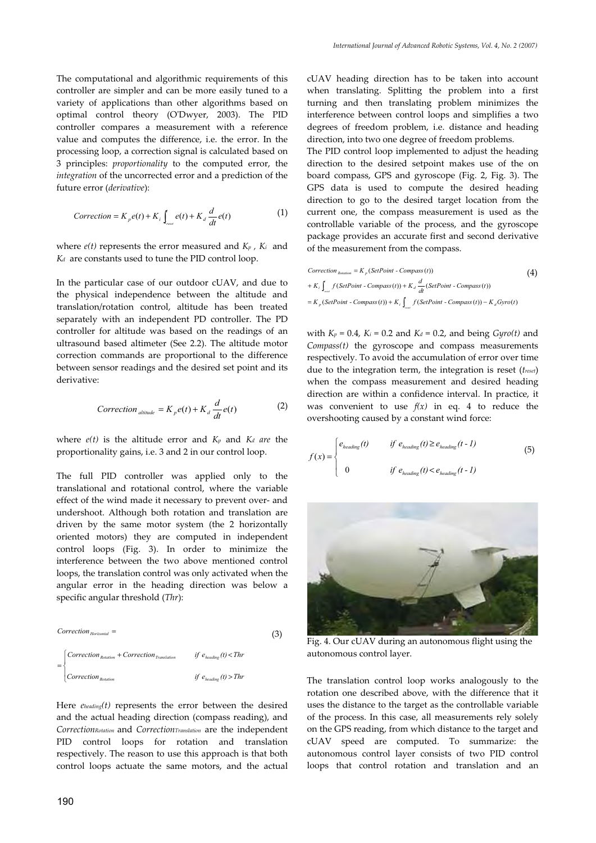The computational and algorithmic requirements of this controller are simpler and can be more easily tuned to a variety of applications than other algorithms based on optimal control theory (O'Dwyer, 2003). The PID controller compares a measurement with a reference value and computes the difference, i.e. the error. In the processing loop, a correction signal is calculated based on 3 principles: *proportionality* to the computed error, the *integration* of the uncorrected error and a prediction of the future error (*derivative*):

$$
Correction = K_p e(t) + K_i \int_{rect} e(t) + K_d \frac{d}{dt} e(t)
$$
 (1)

where *e(t)* represents the error measured and *Kp , Ki* and *Kd* are constants used to tune the PID control loop.

In the particular case of our outdoor cUAV, and due to the physical independence between the altitude and translation/rotation control, altitude has been treated separately with an independent PD controller. The PD controller for altitude was based on the readings of an ultrasound based altimeter (See 2.2). The altitude motor correction commands are proportional to the difference between sensor readings and the desired set point and its derivative:

$$
Correction_{\text{altitude}} = K_{p}e(t) + K_{d}\frac{d}{dt}e(t) \tag{2}
$$

where  $e(t)$  is the altitude error and  $K_p$  and  $K_d$  are the proportionality gains, i.e. 3 and 2 in our control loop.

The full PID controller was applied only to the translational and rotational control, where the variable effect of the wind made it necessary to prevent over- and undershoot. Although both rotation and translation are driven by the same motor system (the 2 horizontally oriented motors) they are computed in independent control loops (Fig. 3). In order to minimize the interference between the two above mentioned control loops, the translation control was only activated when the angular error in the heading direction was below a specific angular threshold (*Thr*):

$$
Correction_{Horizontal} = \n\begin{cases}\n\text{Correction}_{Rotation} + \text{Correction}_{Translation} & \text{if } e_{\text{leading}}(t) < \text{Thr} \\
\text{Correction}_{Rotation} & \text{if } e_{\text{leading}}(t) > \text{Thr}\n\end{cases}
$$

Here *eheading(t)* represents the error between the desired and the actual heading direction (compass reading), and *CorrectionRotation* and *CorrectionTranslation* are the independent PID control loops for rotation and translation respectively. The reason to use this approach is that both control loops actuate the same motors, and the actual

cUAV heading direction has to be taken into account when translating. Splitting the problem into a first turning and then translating problem minimizes the interference between control loops and simplifies a two degrees of freedom problem, i.e. distance and heading direction, into two one degree of freedom problems.

The PID control loop implemented to adjust the heading direction to the desired setpoint makes use of the on board compass, GPS and gyroscope (Fig. 2, Fig. 3). The GPS data is used to compute the desired heading direction to go to the desired target location from the current one, the compass measurement is used as the controllable variable of the process, and the gyroscope package provides an accurate first and second derivative of the measurement from the compass.

$$
Correction_{Bodation} = K_p (SetPoint - Compass(t))
$$
\n
$$
+ K_i \int_{\text{max}} f(SetPoint - Compass(t)) + K_d \frac{d}{dt} (SetPoint - Compass(t))
$$
\n
$$
= K_p (SetPoint - Compass(t)) + K_i \int_{\text{max}}^d (SetPoint - Compass(t)) - K_d Gyro(t)
$$

*reset*

with  $K_p = 0.4$ ,  $K_i = 0.2$  and  $K_d = 0.2$ , and being  $Gyro(t)$  and *Compass(t)* the gyroscope and compass measurements respectively. To avoid the accumulation of error over time due to the integration term, the integration is reset (*treset*) when the compass measurement and desired heading direction are within a confidence interval. In practice, it was convenient to use  $f(x)$  in eq. 4 to reduce the overshooting caused by a constant wind force:

$$
f(x) = \begin{cases} e_{\text{leading}}(t) & \text{if } e_{\text{leading}}(t) \ge e_{\text{leading}}(t-1) \\ 0 & \text{if } e_{\text{leading}}(t) < e_{\text{leading}}(t-1) \end{cases} \tag{5}
$$



Fig. 4. Our cUAV during an autonomous flight using the autonomous control layer.

The translation control loop works analogously to the rotation one described above, with the difference that it uses the distance to the target as the controllable variable of the process. In this case, all measurements rely solely on the GPS reading, from which distance to the target and cUAV speed are computed. To summarize: the autonomous control layer consists of two PID control loops that control rotation and translation and an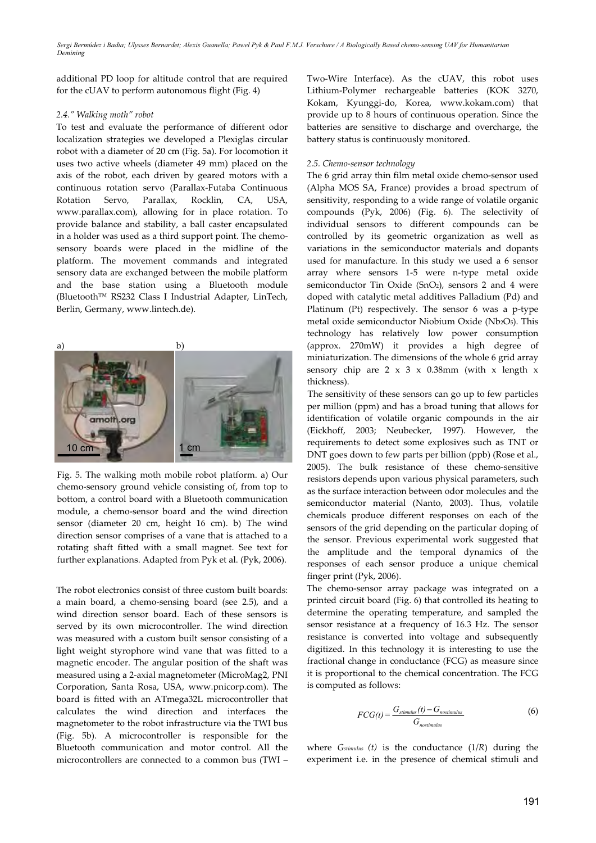additional PD loop for altitude control that are required for the cUAV to perform autonomous flight (Fig. 4)

## *2.4." Walking moth" robot*

To test and evaluate the performance of different odor localization strategies we developed a Plexiglas circular robot with a diameter of 20 cm (Fig. 5a). For locomotion it uses two active wheels (diameter 49 mm) placed on the axis of the robot, each driven by geared motors with a continuous rotation servo (Parallax-Futaba Continuous Rotation Servo, Parallax, Rocklin, CA, USA, www.parallax.com), allowing for in place rotation. To provide balance and stability, a ball caster encapsulated in a holder was used as a third support point. The chemosensory boards were placed in the midline of the platform. The movement commands and integrated sensory data are exchanged between the mobile platform and the base station using a Bluetooth module (Bluetooth™ RS232 Class I Industrial Adapter, LinTech, Berlin, Germany, www.lintech.de).



Fig. 5. The walking moth mobile robot platform. a) Our chemo-sensory ground vehicle consisting of, from top to bottom, a control board with a Bluetooth communication module, a chemo-sensor board and the wind direction sensor (diameter 20 cm, height 16 cm). b) The wind direction sensor comprises of a vane that is attached to a rotating shaft fitted with a small magnet. See text for further explanations. Adapted from Pyk et al. (Pyk, 2006).

The robot electronics consist of three custom built boards: a main board, a chemo-sensing board (see 2.5), and a wind direction sensor board. Each of these sensors is served by its own microcontroller. The wind direction was measured with a custom built sensor consisting of a light weight styrophore wind vane that was fitted to a magnetic encoder. The angular position of the shaft was measured using a 2-axial magnetometer (MicroMag2, PNI Corporation, Santa Rosa, USA, www.pnicorp.com). The board is fitted with an ATmega32L microcontroller that calculates the wind direction and interfaces the magnetometer to the robot infrastructure via the TWI bus (Fig. 5b). A microcontroller is responsible for the Bluetooth communication and motor control. All the microcontrollers are connected to a common bus (TWI –

Two-Wire Interface). As the cUAV, this robot uses Lithium-Polymer rechargeable batteries (KOK 3270, Kokam, Kyunggi-do, Korea, www.kokam.com) that provide up to 8 hours of continuous operation. Since the batteries are sensitive to discharge and overcharge, the battery status is continuously monitored.

## *2.5. Chemo-sensor technology*

The 6 grid array thin film metal oxide chemo-sensor used (Alpha MOS SA, France) provides a broad spectrum of sensitivity, responding to a wide range of volatile organic compounds (Pyk, 2006) (Fig. 6). The selectivity of individual sensors to different compounds can be controlled by its geometric organization as well as variations in the semiconductor materials and dopants used for manufacture. In this study we used a 6 sensor array where sensors 1-5 were n-type metal oxide semiconductor Tin Oxide (SnO2), sensors 2 and 4 were doped with catalytic metal additives Palladium (Pd) and Platinum (Pt) respectively. The sensor 6 was a p-type metal oxide semiconductor Niobium Oxide (Nb2O5). This technology has relatively low power consumption (approx. 270mW) it provides a high degree of miniaturization. The dimensions of the whole 6 grid array sensory chip are  $2 \times 3 \times 0.38$ mm (with x length x thickness).

The sensitivity of these sensors can go up to few particles per million (ppm) and has a broad tuning that allows for identification of volatile organic compounds in the air (Eickhoff, 2003; Neubecker, 1997). However, the requirements to detect some explosives such as TNT or DNT goes down to few parts per billion (ppb) (Rose et al., 2005). The bulk resistance of these chemo-sensitive resistors depends upon various physical parameters, such as the surface interaction between odor molecules and the semiconductor material (Nanto, 2003). Thus, volatile chemicals produce different responses on each of the sensors of the grid depending on the particular doping of the sensor. Previous experimental work suggested that the amplitude and the temporal dynamics of the responses of each sensor produce a unique chemical finger print (Pyk, 2006).

The chemo-sensor array package was integrated on a printed circuit board (Fig. 6) that controlled its heating to determine the operating temperature, and sampled the sensor resistance at a frequency of 16.3 Hz. The sensor resistance is converted into voltage and subsequently digitized. In this technology it is interesting to use the fractional change in conductance (FCG) as measure since it is proportional to the chemical concentration. The FCG is computed as follows:

$$
FCG(t) = \frac{G_{simulus}(t) - G_{nostimulus}}{G_{nostimulus}}
$$
\n(6)

where *Gstimulus (t)* is the conductance (1/*R*) during the experiment i.e. in the presence of chemical stimuli and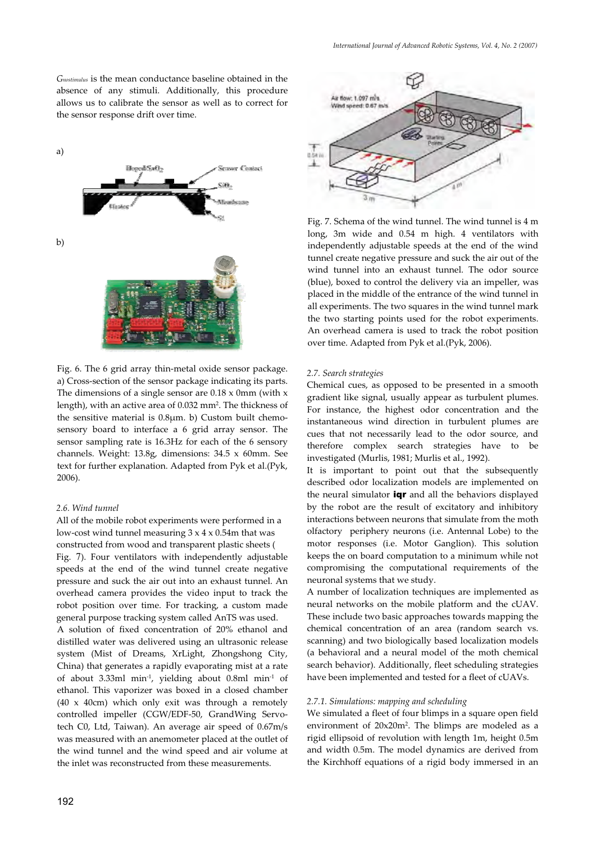*Gnostimulus* is the mean conductance baseline obtained in the absence of any stimuli. Additionally, this procedure allows us to calibrate the sensor as well as to correct for the sensor response drift over time.



Fig. 6. The 6 grid array thin-metal oxide sensor package. a) Cross-section of the sensor package indicating its parts. The dimensions of a single sensor are  $0.18 \times 0$ mm (with x length), with an active area of 0.032 mm2. The thickness of the sensitive material is  $0.8\mu$ m. b) Custom built chemosensory board to interface a 6 grid array sensor. The sensor sampling rate is 16.3Hz for each of the 6 sensory channels. Weight: 13.8g, dimensions: 34.5 x 60mm. See text for further explanation. Adapted from Pyk et al.(Pyk, 2006).

## *2.6. Wind tunnel*

All of the mobile robot experiments were performed in a low-cost wind tunnel measuring  $3 \times 4 \times 0.54$ m that was constructed from wood and transparent plastic sheets ( Fig. 7). Four ventilators with independently adjustable speeds at the end of the wind tunnel create negative pressure and suck the air out into an exhaust tunnel. An overhead camera provides the video input to track the robot position over time. For tracking, a custom made general purpose tracking system called AnTS was used.

A solution of fixed concentration of 20% ethanol and distilled water was delivered using an ultrasonic release system (Mist of Dreams, XrLight, Zhongshong City, China) that generates a rapidly evaporating mist at a rate of about 3.33ml min-1, yielding about 0.8ml min-1 of ethanol. This vaporizer was boxed in a closed chamber (40 x 40cm) which only exit was through a remotely controlled impeller (CGW/EDF-50, GrandWing Servotech C0, Ltd, Taiwan). An average air speed of 0.67m/s was measured with an anemometer placed at the outlet of the wind tunnel and the wind speed and air volume at the inlet was reconstructed from these measurements.



Fig. 7. Schema of the wind tunnel. The wind tunnel is 4 m long, 3m wide and 0.54 m high. 4 ventilators with independently adjustable speeds at the end of the wind tunnel create negative pressure and suck the air out of the wind tunnel into an exhaust tunnel. The odor source (blue), boxed to control the delivery via an impeller, was placed in the middle of the entrance of the wind tunnel in all experiments. The two squares in the wind tunnel mark the two starting points used for the robot experiments. An overhead camera is used to track the robot position over time. Adapted from Pyk et al.(Pyk, 2006).

#### *2.7. Search strategies*

Chemical cues, as opposed to be presented in a smooth gradient like signal, usually appear as turbulent plumes. For instance, the highest odor concentration and the instantaneous wind direction in turbulent plumes are cues that not necessarily lead to the odor source, and therefore complex search strategies have to be investigated (Murlis, 1981; Murlis et al., 1992).

It is important to point out that the subsequently described odor localization models are implemented on the neural simulator **iqr** and all the behaviors displayed by the robot are the result of excitatory and inhibitory interactions between neurons that simulate from the moth olfactory periphery neurons (i.e. Antennal Lobe) to the motor responses (i.e. Motor Ganglion). This solution keeps the on board computation to a minimum while not compromising the computational requirements of the neuronal systems that we study.

A number of localization techniques are implemented as neural networks on the mobile platform and the cUAV. These include two basic approaches towards mapping the chemical concentration of an area (random search vs. scanning) and two biologically based localization models (a behavioral and a neural model of the moth chemical search behavior). Additionally, fleet scheduling strategies have been implemented and tested for a fleet of cUAVs.

#### *2.7.1. Simulations: mapping and scheduling*

We simulated a fleet of four blimps in a square open field environment of 20x20m2. The blimps are modeled as a rigid ellipsoid of revolution with length 1m, height 0.5m and width 0.5m. The model dynamics are derived from the Kirchhoff equations of a rigid body immersed in an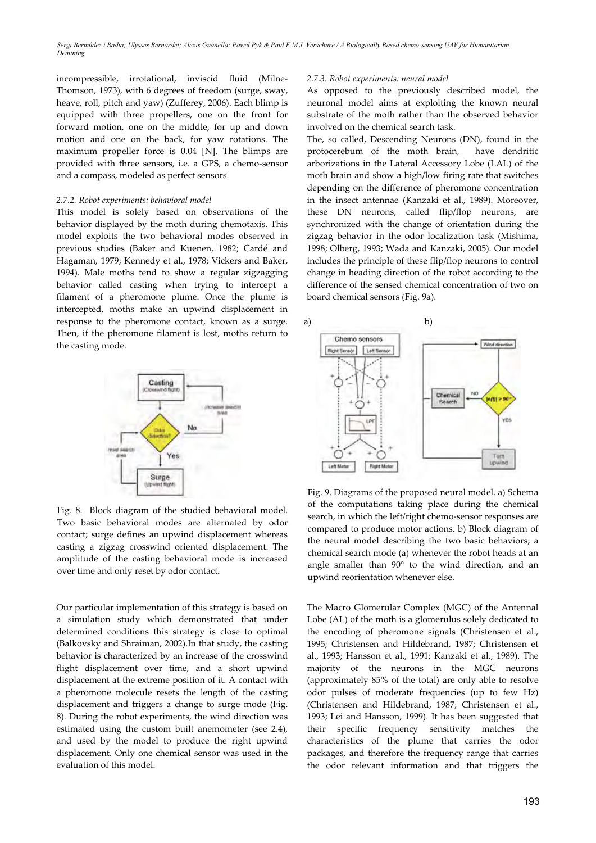incompressible, irrotational, inviscid fluid (Milne-Thomson, 1973), with 6 degrees of freedom (surge, sway, heave, roll, pitch and yaw) (Zufferey, 2006). Each blimp is equipped with three propellers, one on the front for forward motion, one on the middle, for up and down motion and one on the back, for yaw rotations. The maximum propeller force is 0.04 [N]. The blimps are provided with three sensors, i.e. a GPS, a chemo-sensor and a compass, modeled as perfect sensors.

#### *2.7.2. Robot experiments: behavioral model*

This model is solely based on observations of the behavior displayed by the moth during chemotaxis. This model exploits the two behavioral modes observed in previous studies (Baker and Kuenen, 1982; Cardé and Hagaman, 1979; Kennedy et al., 1978; Vickers and Baker, 1994). Male moths tend to show a regular zigzagging behavior called casting when trying to intercept a filament of a pheromone plume. Once the plume is intercepted, moths make an upwind displacement in response to the pheromone contact, known as a surge. Then, if the pheromone filament is lost, moths return to the casting mode.



Fig. 8. Block diagram of the studied behavioral model. Two basic behavioral modes are alternated by odor contact; surge defines an upwind displacement whereas casting a zigzag crosswind oriented displacement. The amplitude of the casting behavioral mode is increased over time and only reset by odor contact**.**

Our particular implementation of this strategy is based on a simulation study which demonstrated that under determined conditions this strategy is close to optimal (Balkovsky and Shraiman, 2002).In that study, the casting behavior is characterized by an increase of the crosswind flight displacement over time, and a short upwind displacement at the extreme position of it. A contact with a pheromone molecule resets the length of the casting displacement and triggers a change to surge mode (Fig. 8). During the robot experiments, the wind direction was estimated using the custom built anemometer (see 2.4), and used by the model to produce the right upwind displacement. Only one chemical sensor was used in the evaluation of this model.

#### *2.7.3. Robot experiments: neural model*

As opposed to the previously described model, the neuronal model aims at exploiting the known neural substrate of the moth rather than the observed behavior involved on the chemical search task.

The, so called, Descending Neurons (DN), found in the protocerebum of the moth brain, have dendritic arborizations in the Lateral Accessory Lobe (LAL) of the moth brain and show a high/low firing rate that switches depending on the difference of pheromone concentration in the insect antennae (Kanzaki et al., 1989). Moreover, these DN neurons, called flip/flop neurons, are synchronized with the change of orientation during the zigzag behavior in the odor localization task (Mishima, 1998; Olberg, 1993; Wada and Kanzaki, 2005). Our model includes the principle of these flip/flop neurons to control change in heading direction of the robot according to the difference of the sensed chemical concentration of two on board chemical sensors (Fig. 9a).



Fig. 9. Diagrams of the proposed neural model. a) Schema of the computations taking place during the chemical search, in which the left/right chemo-sensor responses are compared to produce motor actions. b) Block diagram of the neural model describing the two basic behaviors; a chemical search mode (a) whenever the robot heads at an angle smaller than 90° to the wind direction, and an upwind reorientation whenever else.

The Macro Glomerular Complex (MGC) of the Antennal Lobe (AL) of the moth is a glomerulus solely dedicated to the encoding of pheromone signals (Christensen et al., 1995; Christensen and Hildebrand, 1987; Christensen et al., 1993; Hansson et al., 1991; Kanzaki et al., 1989). The majority of the neurons in the MGC neurons (approximately 85% of the total) are only able to resolve odor pulses of moderate frequencies (up to few Hz) (Christensen and Hildebrand, 1987; Christensen et al., 1993; Lei and Hansson, 1999). It has been suggested that their specific frequency sensitivity matches the characteristics of the plume that carries the odor packages, and therefore the frequency range that carries the odor relevant information and that triggers the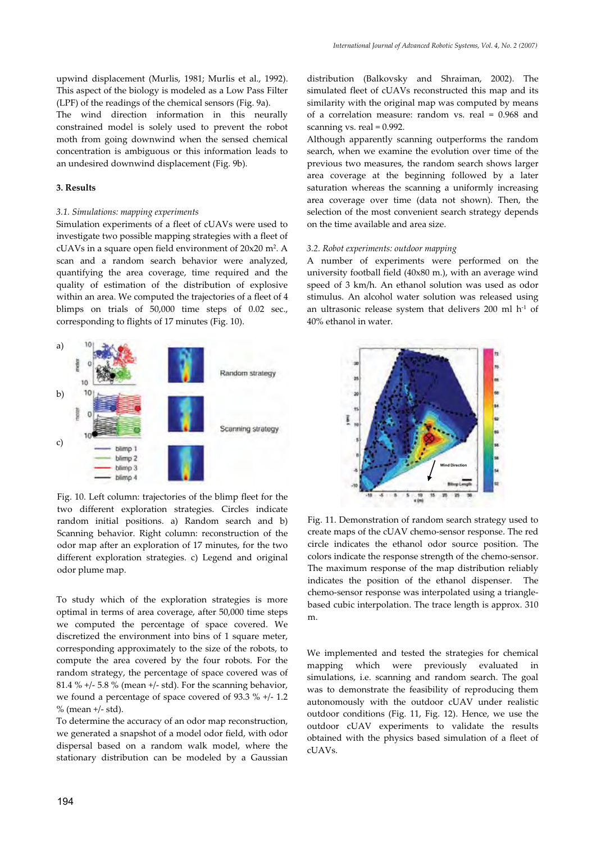upwind displacement (Murlis, 1981; Murlis et al., 1992). This aspect of the biology is modeled as a Low Pass Filter (LPF) of the readings of the chemical sensors (Fig. 9a).

The wind direction information in this neurally constrained model is solely used to prevent the robot moth from going downwind when the sensed chemical concentration is ambiguous or this information leads to an undesired downwind displacement (Fig. 9b).

## **3. Results**

## *3.1. Simulations: mapping experiments*

Simulation experiments of a fleet of cUAVs were used to investigate two possible mapping strategies with a fleet of cUAVs in a square open field environment of 20x20 m2. A scan and a random search behavior were analyzed, quantifying the area coverage, time required and the quality of estimation of the distribution of explosive within an area. We computed the trajectories of a fleet of 4 blimps on trials of 50,000 time steps of 0.02 sec., corresponding to flights of 17 minutes (Fig. 10).



Fig. 10. Left column: trajectories of the blimp fleet for the two different exploration strategies. Circles indicate random initial positions. a) Random search and b) Scanning behavior. Right column: reconstruction of the odor map after an exploration of 17 minutes, for the two different exploration strategies. c) Legend and original odor plume map.

To study which of the exploration strategies is more optimal in terms of area coverage, after 50,000 time steps we computed the percentage of space covered. We discretized the environment into bins of 1 square meter, corresponding approximately to the size of the robots, to compute the area covered by the four robots. For the random strategy, the percentage of space covered was of 81.4 %  $+/- 5.8$  % (mean  $+/-$  std). For the scanning behavior, we found a percentage of space covered of 93.3 % +/- 1.2  $%$  (mean  $+/-$  std).

To determine the accuracy of an odor map reconstruction, we generated a snapshot of a model odor field, with odor dispersal based on a random walk model, where the stationary distribution can be modeled by a Gaussian

distribution (Balkovsky and Shraiman, 2002). The simulated fleet of cUAVs reconstructed this map and its similarity with the original map was computed by means of a correlation measure: random vs. real = 0.968 and scanning vs. real = 0.992.

Although apparently scanning outperforms the random search, when we examine the evolution over time of the previous two measures, the random search shows larger area coverage at the beginning followed by a later saturation whereas the scanning a uniformly increasing area coverage over time (data not shown). Then, the selection of the most convenient search strategy depends on the time available and area size.

## *3.2. Robot experiments: outdoor mapping*

A number of experiments were performed on the university football field (40x80 m.), with an average wind speed of 3 km/h. An ethanol solution was used as odor stimulus. An alcohol water solution was released using an ultrasonic release system that delivers 200 ml h-1 of 40% ethanol in water.



Fig. 11. Demonstration of random search strategy used to create maps of the cUAV chemo-sensor response. The red circle indicates the ethanol odor source position. The colors indicate the response strength of the chemo-sensor. The maximum response of the map distribution reliably indicates the position of the ethanol dispenser. The chemo-sensor response was interpolated using a trianglebased cubic interpolation. The trace length is approx. 310 m.

We implemented and tested the strategies for chemical mapping which were previously evaluated in simulations, i.e. scanning and random search. The goal was to demonstrate the feasibility of reproducing them autonomously with the outdoor cUAV under realistic outdoor conditions (Fig. 11, Fig. 12). Hence, we use the outdoor cUAV experiments to validate the results obtained with the physics based simulation of a fleet of cUAVs.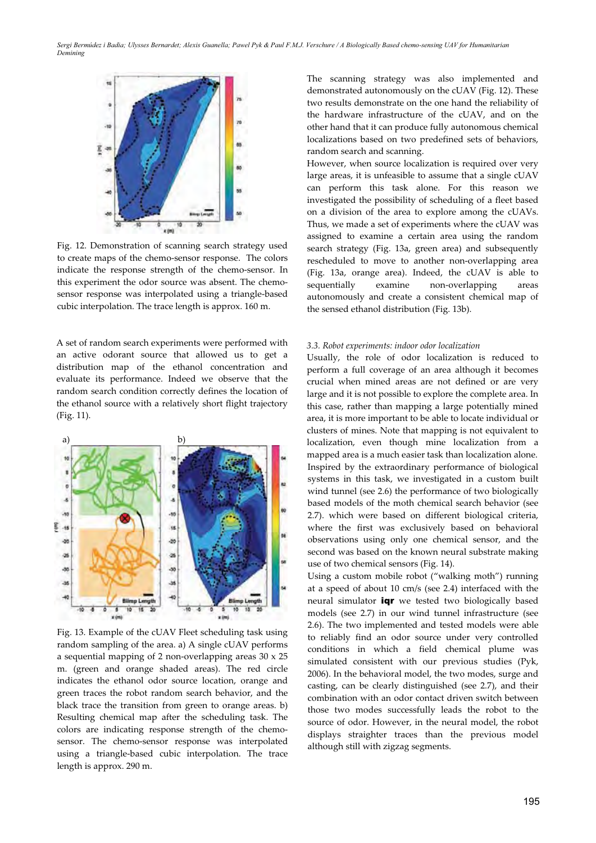

Fig. 12. Demonstration of scanning search strategy used to create maps of the chemo-sensor response. The colors indicate the response strength of the chemo-sensor. In this experiment the odor source was absent. The chemosensor response was interpolated using a triangle-based cubic interpolation. The trace length is approx. 160 m.

A set of random search experiments were performed with an active odorant source that allowed us to get a distribution map of the ethanol concentration and evaluate its performance. Indeed we observe that the random search condition correctly defines the location of the ethanol source with a relatively short flight trajectory (Fig. 11).



Fig. 13. Example of the cUAV Fleet scheduling task using random sampling of the area. a) A single cUAV performs a sequential mapping of 2 non-overlapping areas 30 x 25 m. (green and orange shaded areas). The red circle indicates the ethanol odor source location, orange and green traces the robot random search behavior, and the black trace the transition from green to orange areas. b) Resulting chemical map after the scheduling task. The colors are indicating response strength of the chemosensor. The chemo-sensor response was interpolated using a triangle-based cubic interpolation. The trace length is approx. 290 m.

The scanning strategy was also implemented and demonstrated autonomously on the cUAV (Fig. 12). These two results demonstrate on the one hand the reliability of the hardware infrastructure of the cUAV, and on the other hand that it can produce fully autonomous chemical localizations based on two predefined sets of behaviors, random search and scanning.

However, when source localization is required over very large areas, it is unfeasible to assume that a single cUAV can perform this task alone. For this reason we investigated the possibility of scheduling of a fleet based on a division of the area to explore among the cUAVs. Thus, we made a set of experiments where the cUAV was assigned to examine a certain area using the random search strategy (Fig. 13a, green area) and subsequently rescheduled to move to another non-overlapping area (Fig. 13a, orange area). Indeed, the cUAV is able to sequentially examine non-overlapping areas autonomously and create a consistent chemical map of the sensed ethanol distribution (Fig. 13b).

## *3.3. Robot experiments: indoor odor localization*

Usually, the role of odor localization is reduced to perform a full coverage of an area although it becomes crucial when mined areas are not defined or are very large and it is not possible to explore the complete area. In this case, rather than mapping a large potentially mined area, it is more important to be able to locate individual or clusters of mines. Note that mapping is not equivalent to localization, even though mine localization from a mapped area is a much easier task than localization alone. Inspired by the extraordinary performance of biological systems in this task, we investigated in a custom built wind tunnel (see 2.6) the performance of two biologically based models of the moth chemical search behavior (see 2.7). which were based on different biological criteria, where the first was exclusively based on behavioral observations using only one chemical sensor, and the second was based on the known neural substrate making use of two chemical sensors (Fig. 14).

Using a custom mobile robot ("walking moth") running at a speed of about 10 cm/s (see 2.4) interfaced with the neural simulator **igr** we tested two biologically based models (see 2.7) in our wind tunnel infrastructure (see 2.6). The two implemented and tested models were able to reliably find an odor source under very controlled conditions in which a field chemical plume was simulated consistent with our previous studies (Pyk, 2006). In the behavioral model, the two modes, surge and casting, can be clearly distinguished (see 2.7), and their combination with an odor contact driven switch between those two modes successfully leads the robot to the source of odor. However, in the neural model, the robot displays straighter traces than the previous model although still with zigzag segments.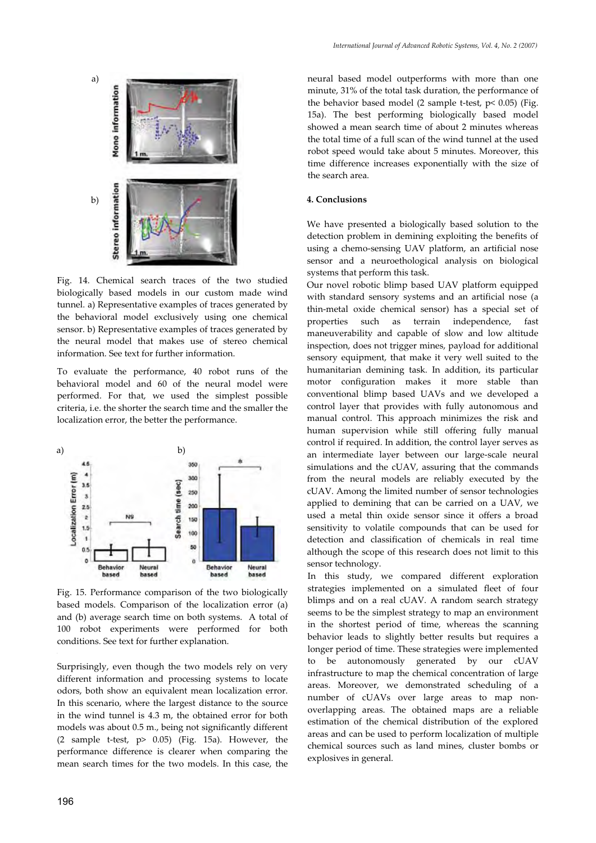

Fig. 14. Chemical search traces of the two studied biologically based models in our custom made wind tunnel. a) Representative examples of traces generated by the behavioral model exclusively using one chemical sensor. b) Representative examples of traces generated by the neural model that makes use of stereo chemical information. See text for further information.

To evaluate the performance, 40 robot runs of the behavioral model and 60 of the neural model were performed. For that, we used the simplest possible criteria, i.e. the shorter the search time and the smaller the localization error, the better the performance.



Fig. 15. Performance comparison of the two biologically based models. Comparison of the localization error (a) and (b) average search time on both systems. A total of 100 robot experiments were performed for both conditions. See text for further explanation.

Surprisingly, even though the two models rely on very different information and processing systems to locate odors, both show an equivalent mean localization error. In this scenario, where the largest distance to the source in the wind tunnel is 4.3 m, the obtained error for both models was about 0.5 m., being not significantly different (2 sample t-test,  $p$   $>$  0.05) (Fig. 15a). However, the performance difference is clearer when comparing the mean search times for the two models. In this case, the neural based model outperforms with more than one minute, 31% of the total task duration, the performance of the behavior based model (2 sample t-test,  $p$ < 0.05) (Fig. 15a). The best performing biologically based model showed a mean search time of about 2 minutes whereas the total time of a full scan of the wind tunnel at the used robot speed would take about 5 minutes. Moreover, this time difference increases exponentially with the size of the search area.

## **4. Conclusions**

We have presented a biologically based solution to the detection problem in demining exploiting the benefits of using a chemo-sensing UAV platform, an artificial nose sensor and a neuroethological analysis on biological systems that perform this task.

Our novel robotic blimp based UAV platform equipped with standard sensory systems and an artificial nose (a thin-metal oxide chemical sensor) has a special set of properties such as terrain independence, fast maneuverability and capable of slow and low altitude inspection, does not trigger mines, payload for additional sensory equipment, that make it very well suited to the humanitarian demining task. In addition, its particular motor configuration makes it more stable than conventional blimp based UAVs and we developed a control layer that provides with fully autonomous and manual control. This approach minimizes the risk and human supervision while still offering fully manual control if required. In addition, the control layer serves as an intermediate layer between our large-scale neural simulations and the cUAV, assuring that the commands from the neural models are reliably executed by the cUAV. Among the limited number of sensor technologies applied to demining that can be carried on a UAV, we used a metal thin oxide sensor since it offers a broad sensitivity to volatile compounds that can be used for detection and classification of chemicals in real time although the scope of this research does not limit to this sensor technology.

In this study, we compared different exploration strategies implemented on a simulated fleet of four blimps and on a real cUAV. A random search strategy seems to be the simplest strategy to map an environment in the shortest period of time, whereas the scanning behavior leads to slightly better results but requires a longer period of time. These strategies were implemented to be autonomously generated by our cUAV infrastructure to map the chemical concentration of large areas. Moreover, we demonstrated scheduling of a number of cUAVs over large areas to map nonoverlapping areas. The obtained maps are a reliable estimation of the chemical distribution of the explored areas and can be used to perform localization of multiple chemical sources such as land mines, cluster bombs or explosives in general.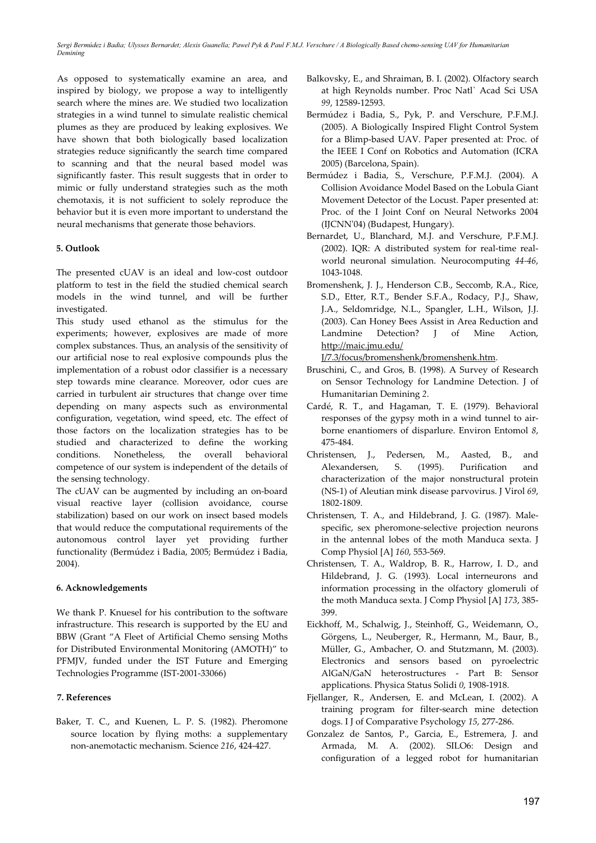As opposed to systematically examine an area, and inspired by biology, we propose a way to intelligently search where the mines are. We studied two localization strategies in a wind tunnel to simulate realistic chemical plumes as they are produced by leaking explosives. We have shown that both biologically based localization strategies reduce significantly the search time compared to scanning and that the neural based model was significantly faster. This result suggests that in order to mimic or fully understand strategies such as the moth chemotaxis, it is not sufficient to solely reproduce the behavior but it is even more important to understand the neural mechanisms that generate those behaviors.

# **5. Outlook**

The presented cUAV is an ideal and low-cost outdoor platform to test in the field the studied chemical search models in the wind tunnel, and will be further investigated.

This study used ethanol as the stimulus for the experiments; however, explosives are made of more complex substances. Thus, an analysis of the sensitivity of our artificial nose to real explosive compounds plus the implementation of a robust odor classifier is a necessary step towards mine clearance. Moreover, odor cues are carried in turbulent air structures that change over time depending on many aspects such as environmental configuration, vegetation, wind speed, etc. The effect of those factors on the localization strategies has to be studied and characterized to define the working conditions. Nonetheless, the overall behavioral competence of our system is independent of the details of the sensing technology.

The cUAV can be augmented by including an on-board visual reactive layer (collision avoidance, course stabilization) based on our work on insect based models that would reduce the computational requirements of the autonomous control layer yet providing further functionality (Bermúdez i Badia, 2005; Bermúdez i Badia, 2004).

## **6. Acknowledgements**

We thank P. Knuesel for his contribution to the software infrastructure. This research is supported by the EU and BBW (Grant "A Fleet of Artificial Chemo sensing Moths for Distributed Environmental Monitoring (AMOTH)" to PFMJV, funded under the IST Future and Emerging Technologies Programme (IST-2001-33066)

# **7. References**

Baker, T. C., and Kuenen, L. P. S. (1982). Pheromone source location by flying moths: a supplementary non-anemotactic mechanism. Science *216*, 424-427.

- Balkovsky, E., and Shraiman, B. I. (2002). Olfactory search at high Reynolds number. Proc Natl` Acad Sci USA *99*, 12589-12593.
- Bermúdez i Badia, S., Pyk, P. and Verschure, P.F.M.J. (2005). A Biologically Inspired Flight Control System for a Blimp-based UAV. Paper presented at: Proc. of the IEEE I Conf on Robotics and Automation (ICRA 2005) (Barcelona, Spain).
- Bermúdez i Badia, S., Verschure, P.F.M.J. (2004). A Collision Avoidance Model Based on the Lobula Giant Movement Detector of the Locust. Paper presented at: Proc. of the I Joint Conf on Neural Networks 2004 (IJCNN'04) (Budapest, Hungary).
- Bernardet, U., Blanchard, M.J. and Verschure, P.F.M.J. (2002). IQR: A distributed system for real-time realworld neuronal simulation. Neurocomputing *44-46*, 1043-1048.
- Bromenshenk, J. J., Henderson C.B., Seccomb, R.A., Rice, S.D., Etter, R.T., Bender S.F.A., Rodacy, P.J., Shaw, J.A., Seldomridge, N.L., Spangler, L.H., Wilson, J.J. (2003). Can Honey Bees Assist in Area Reduction and Landmine Detection? J of Mine Action, http://maic.jmu.edu/

J/7.3/focus/bromenshenk/bromenshenk.htm.

- Bruschini, C., and Gros, B. (1998). A Survey of Research on Sensor Technology for Landmine Detection. J of Humanitarian Demining *2*.
- Cardé, R. T., and Hagaman, T. E. (1979). Behavioral responses of the gypsy moth in a wind tunnel to airborne enantiomers of disparlure. Environ Entomol *8*, 475-484.
- Christensen, J., Pedersen, M., Aasted, B., and Alexandersen, S. (1995). Purification and characterization of the major nonstructural protein (NS-1) of Aleutian mink disease parvovirus. J Virol *69*, 1802-1809.
- Christensen, T. A., and Hildebrand, J. G. (1987). Malespecific, sex pheromone-selective projection neurons in the antennal lobes of the moth Manduca sexta. J Comp Physiol [A] *160*, 553-569.
- Christensen, T. A., Waldrop, B. R., Harrow, I. D., and Hildebrand, J. G. (1993). Local interneurons and information processing in the olfactory glomeruli of the moth Manduca sexta. J Comp Physiol [A] *173*, 385- 399.
- Eickhoff, M., Schalwig, J., Steinhoff, G., Weidemann, O., Görgens, L., Neuberger, R., Hermann, M., Baur, B., Müller, G., Ambacher, O. and Stutzmann, M. (2003). Electronics and sensors based on pyroelectric AlGaN/GaN heterostructures - Part B: Sensor applications. Physica Status Solidi *0*, 1908-1918.
- Fjellanger, R., Andersen, E. and McLean, I. (2002). A training program for filter-search mine detection dogs. I J of Comparative Psychology *15*, 277-286.
- Gonzalez de Santos, P., Garcia, E., Estremera, J. and Armada, M. A. (2002). SILO6: Design and configuration of a legged robot for humanitarian